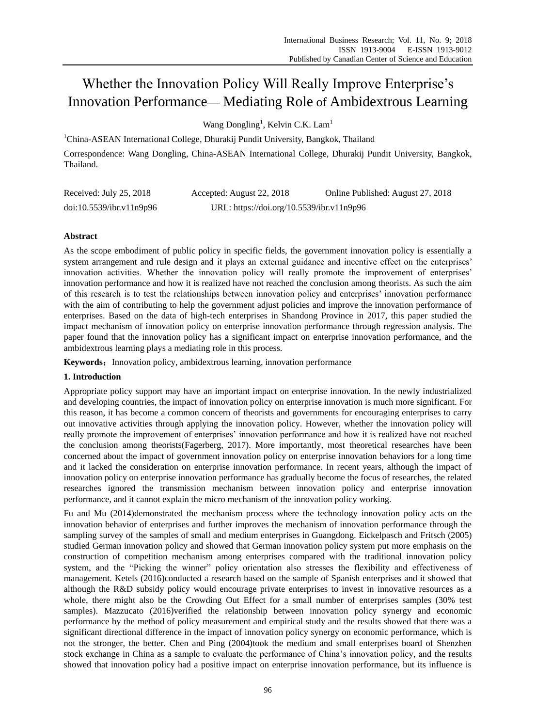# Whether the Innovation Policy Will Really Improve Enterprise's Innovation Performance— Mediating Role of Ambidextrous Learning

Wang Dongling<sup>1</sup>, Kelvin C.K. Lam<sup>1</sup>

<sup>1</sup>China-ASEAN International College, Dhurakij Pundit University, Bangkok, Thailand

Correspondence: Wang Dongling, China-ASEAN International College, Dhurakij Pundit University, Bangkok, Thailand.

| Received: July 25, 2018  | Accepted: August 22, 2018                 | Online Published: August 27, 2018 |
|--------------------------|-------------------------------------------|-----------------------------------|
| doi:10.5539/ibr.v11n9p96 | URL: https://doi.org/10.5539/ibr.v11n9p96 |                                   |

# **Abstract**

As the scope embodiment of public policy in specific fields, the government innovation policy is essentially a system arrangement and rule design and it plays an external guidance and incentive effect on the enterprises' innovation activities. Whether the innovation policy will really promote the improvement of enterprises' innovation performance and how it is realized have not reached the conclusion among theorists. As such the aim of this research is to test the relationships between innovation policy and enterprises' innovation performance with the aim of contributing to help the government adjust policies and improve the innovation performance of enterprises. Based on the data of high-tech enterprises in Shandong Province in 2017, this paper studied the impact mechanism of innovation policy on enterprise innovation performance through regression analysis. The paper found that the innovation policy has a significant impact on enterprise innovation performance, and the ambidextrous learning plays a mediating role in this process.

Keywords: Innovation policy, ambidextrous learning, innovation performance

# **1. Introduction**

Appropriate policy support may have an important impact on enterprise innovation. In the newly industrialized and developing countries, the impact of innovation policy on enterprise innovation is much more significant. For this reason, it has become a common concern of theorists and governments for encouraging enterprises to carry out innovative activities through applying the innovation policy. However, whether the innovation policy will really promote the improvement of enterprises' innovation performance and how it is realized have not reached the conclusion among theorists(Fagerberg, 2017). More importantly, most theoretical researches have been concerned about the impact of government innovation policy on enterprise innovation behaviors for a long time and it lacked the consideration on enterprise innovation performance. In recent years, although the impact of innovation policy on enterprise innovation performance has gradually become the focus of researches, the related researches ignored the transmission mechanism between innovation policy and enterprise innovation performance, and it cannot explain the micro mechanism of the innovation policy working.

Fu and Mu (2014)demonstrated the mechanism process where the technology innovation policy acts on the innovation behavior of enterprises and further improves the mechanism of innovation performance through the sampling survey of the samples of small and medium enterprises in Guangdong. Eickelpasch and Fritsch (2005) studied German innovation policy and showed that German innovation policy system put more emphasis on the construction of competition mechanism among enterprises compared with the traditional innovation policy system, and the "Picking the winner" policy orientation also stresses the flexibility and effectiveness of management. Ketels (2016)conducted a research based on the sample of Spanish enterprises and it showed that although the R&D subsidy policy would encourage private enterprises to invest in innovative resources as a whole, there might also be the Crowding Out Effect for a small number of enterprises samples (30% test samples). Mazzucato (2016)verified the relationship between innovation policy synergy and economic performance by the method of policy measurement and empirical study and the results showed that there was a significant directional difference in the impact of innovation policy synergy on economic performance, which is not the stronger, the better. Chen and Ping (2004)took the medium and small enterprises board of Shenzhen stock exchange in China as a sample to evaluate the performance of China's innovation policy, and the results showed that innovation policy had a positive impact on enterprise innovation performance, but its influence is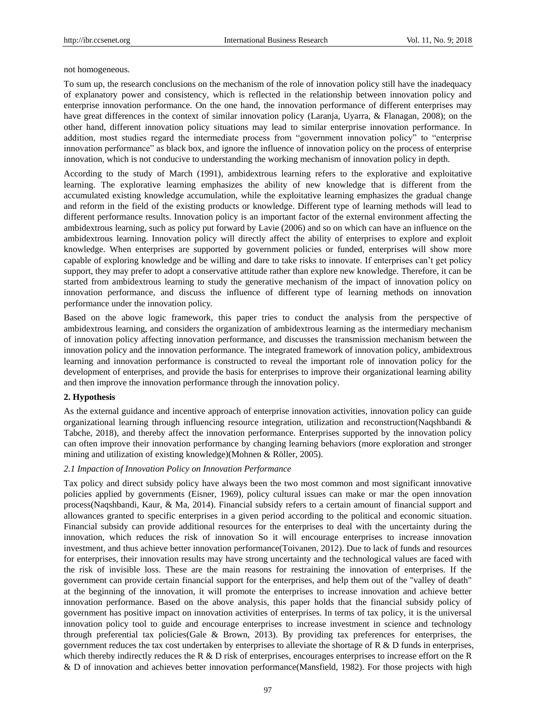not homogeneous.

To sum up, the research conclusions on the mechanism of the role of innovation policy still have the inadequacy of explanatory power and consistency, which is reflected in the relationship between innovation policy and enterprise innovation performance. On the one hand, the innovation performance of different enterprises may have great differences in the context of similar innovation policy (Laranja, Uyarra, & Flanagan, 2008); on the other hand, different innovation policy situations may lead to similar enterprise innovation performance. In addition, most studies regard the intermediate process from "government innovation policy" to "enterprise innovation performance" as black box, and ignore the influence of innovation policy on the process of enterprise innovation, which is not conducive to understanding the working mechanism of innovation policy in depth.

According to the study of March (1991), ambidextrous learning refers to the explorative and exploitative learning. The explorative learning emphasizes the ability of new knowledge that is different from the accumulated existing knowledge accumulation, while the exploitative learning emphasizes the gradual change and reform in the field of the existing products or knowledge. Different type of learning methods will lead to different performance results. Innovation policy is an important factor of the external environment affecting the ambidextrous learning, such as policy put forward by Lavie (2006) and so on which can have an influence on the ambidextrous learning. Innovation policy will directly affect the ability of enterprises to explore and exploit knowledge. When enterprises are supported by government policies or funded, enterprises will show more capable of exploring knowledge and be willing and dare to take risks to innovate. If enterprises can't get policy support, they may prefer to adopt a conservative attitude rather than explore new knowledge. Therefore, it can be started from ambidextrous learning to study the generative mechanism of the impact of innovation policy on innovation performance, and discuss the influence of different type of learning methods on innovation performance under the innovation policy.

Based on the above logic framework, this paper tries to conduct the analysis from the perspective of ambidextrous learning, and considers the organization of ambidextrous learning as the intermediary mechanism of innovation policy affecting innovation performance, and discusses the transmission mechanism between the innovation policy and the innovation performance. The integrated framework of innovation policy, ambidextrous learning and innovation performance is constructed to reveal the important role of innovation policy for the development of enterprises, and provide the basis for enterprises to improve their organizational learning ability and then improve the innovation performance through the innovation policy.

# **2. Hypothesis**

As the external guidance and incentive approach of enterprise innovation activities, innovation policy can guide organizational learning through influencing resource integration, utilization and reconstruction(Naqshbandi & Tabche, 2018), and thereby affect the innovation performance. Enterprises supported by the innovation policy can often improve their innovation performance by changing learning behaviors (more exploration and stronger mining and utilization of existing knowledge)(Mohnen & Röller, 2005).

# *2.1 Impaction of Innovation Policy on Innovation Performance*

Tax policy and direct subsidy policy have always been the two most common and most significant innovative policies applied by governments (Eisner, 1969), policy cultural issues can make or mar the open innovation process(Naqshbandi, Kaur, & Ma, 2014). Financial subsidy refers to a certain amount of financial support and allowances granted to specific enterprises in a given period according to the political and economic situation. Financial subsidy can provide additional resources for the enterprises to deal with the uncertainty during the innovation, which reduces the risk of innovation So it will encourage enterprises to increase innovation investment, and thus achieve better innovation performance(Toivanen, 2012). Due to lack of funds and resources for enterprises, their innovation results may have strong uncertainty and the technological values are faced with the risk of invisible loss. These are the main reasons for restraining the innovation of enterprises. If the government can provide certain financial support for the enterprises, and help them out of the "valley of death" at the beginning of the innovation, it will promote the enterprises to increase innovation and achieve better innovation performance. Based on the above analysis, this paper holds that the financial subsidy policy of government has positive impact on innovation activities of enterprises. In terms of tax policy, it is the universal innovation policy tool to guide and encourage enterprises to increase investment in science and technology through preferential tax policies(Gale & Brown, 2013). By providing tax preferences for enterprises, the government reduces the tax cost undertaken by enterprises to alleviate the shortage of R  $\&$  D funds in enterprises, which thereby indirectly reduces the R  $\&$  D risk of enterprises, encourages enterprises to increase effort on the R & D of innovation and achieves better innovation performance(Mansfield, 1982). For those projects with high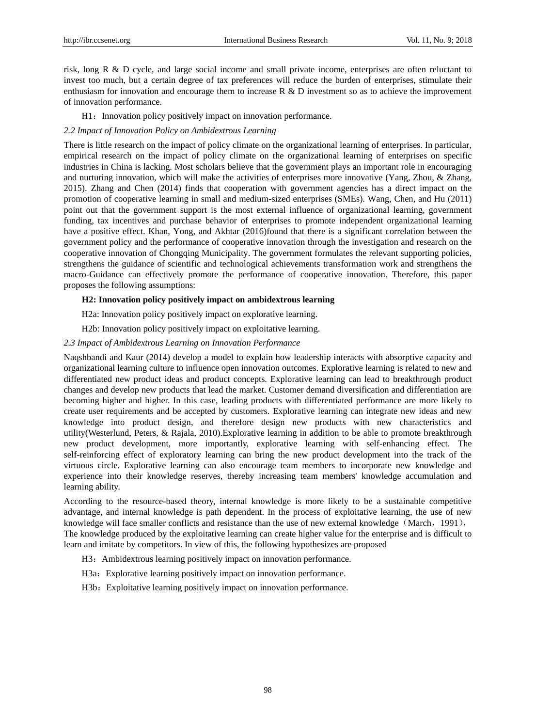risk, long R & D cycle, and large social income and small private income, enterprises are often reluctant to invest too much, but a certain degree of tax preferences will reduce the burden of enterprises, stimulate their enthusiasm for innovation and encourage them to increase  $R \& D$  investment so as to achieve the improvement of innovation performance.

H1: Innovation policy positively impact on innovation performance.

## *2.2 Impact of Innovation Policy on Ambidextrous Learning*

There is little research on the impact of policy climate on the organizational learning of enterprises. In particular, empirical research on the impact of policy climate on the organizational learning of enterprises on specific industries in China is lacking. Most scholars believe that the government plays an important role in encouraging and nurturing innovation, which will make the activities of enterprises more innovative (Yang, Zhou, & Zhang, 2015). Zhang and Chen (2014) finds that cooperation with government agencies has a direct impact on the promotion of cooperative learning in small and medium-sized enterprises (SMEs). Wang, Chen, and Hu (2011) point out that the government support is the most external influence of organizational learning, government funding, tax incentives and purchase behavior of enterprises to promote independent organizational learning have a positive effect. Khan, Yong, and Akhtar (2016)found that there is a significant correlation between the government policy and the performance of cooperative innovation through the investigation and research on the cooperative innovation of Chongqing Municipality. The government formulates the relevant supporting policies, strengthens the guidance of scientific and technological achievements transformation work and strengthens the macro-Guidance can effectively promote the performance of cooperative innovation. Therefore, this paper proposes the following assumptions:

# **H2: Innovation policy positively impact on ambidextrous learning**

H2a: Innovation policy positively impact on explorative learning.

H2b: Innovation policy positively impact on exploitative learning.

## *2.3 Impact of Ambidextrous Learning on Innovation Performance*

Naqshbandi and Kaur (2014) develop a model to explain how leadership interacts with absorptive capacity and organizational learning culture to influence open innovation outcomes. Explorative learning is related to new and differentiated new product ideas and product concepts. Explorative learning can lead to breakthrough product changes and develop new products that lead the market. Customer demand diversification and differentiation are becoming higher and higher. In this case, leading products with differentiated performance are more likely to create user requirements and be accepted by customers. Explorative learning can integrate new ideas and new knowledge into product design, and therefore design new products with new characteristics and utility(Westerlund, Peters, & Rajala, 2010).Explorative learning in addition to be able to promote breakthrough new product development, more importantly, explorative learning with self-enhancing effect. The self-reinforcing effect of exploratory learning can bring the new product development into the track of the virtuous circle. Explorative learning can also encourage team members to incorporate new knowledge and experience into their knowledge reserves, thereby increasing team members' knowledge accumulation and learning ability.

According to the resource-based theory, internal knowledge is more likely to be a sustainable competitive advantage, and internal knowledge is path dependent. In the process of exploitative learning, the use of new knowledge will face smaller conflicts and resistance than the use of new external knowledge (March, 1991), The knowledge produced by the exploitative learning can create higher value for the enterprise and is difficult to learn and imitate by competitors. In view of this, the following hypothesizes are proposed

- H3: Ambidextrous learning positively impact on innovation performance.
- H3a: Explorative learning positively impact on innovation performance.
- H3b: Exploitative learning positively impact on innovation performance.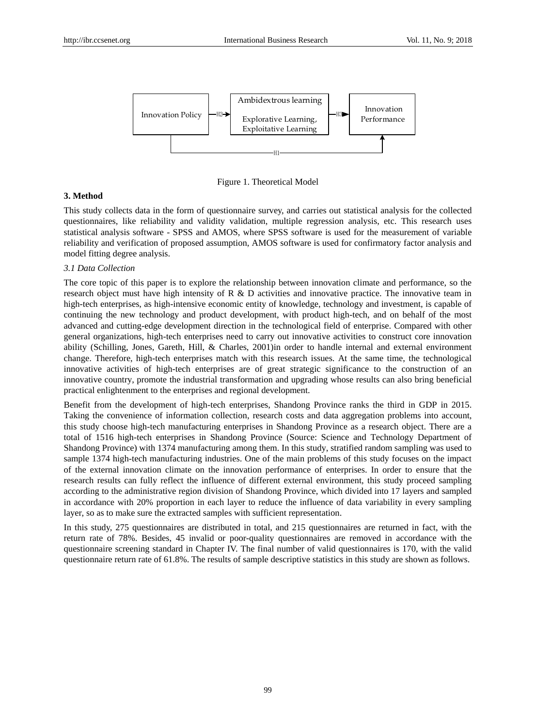

Figure 1. Theoretical Model

## **3. Method**

This study collects data in the form of questionnaire survey, and carries out statistical analysis for the collected questionnaires, like reliability and validity validation, multiple regression analysis, etc. This research uses statistical analysis software - SPSS and AMOS, where SPSS software is used for the measurement of variable reliability and verification of proposed assumption, AMOS software is used for confirmatory factor analysis and model fitting degree analysis.

# *3.1 Data Collection*

The core topic of this paper is to explore the relationship between innovation climate and performance, so the research object must have high intensity of R & D activities and innovative practice. The innovative team in high-tech enterprises, as high-intensive economic entity of knowledge, technology and investment, is capable of continuing the new technology and product development, with product high-tech, and on behalf of the most advanced and cutting-edge development direction in the technological field of enterprise. Compared with other general organizations, high-tech enterprises need to carry out innovative activities to construct core innovation ability (Schilling, Jones, Gareth, Hill, & Charles, 2001)in order to handle internal and external environment change. Therefore, high-tech enterprises match with this research issues. At the same time, the technological innovative activities of high-tech enterprises are of great strategic significance to the construction of an innovative country, promote the industrial transformation and upgrading whose results can also bring beneficial practical enlightenment to the enterprises and regional development.

Benefit from the development of high-tech enterprises, Shandong Province ranks the third in GDP in 2015. Taking the convenience of information collection, research costs and data aggregation problems into account, this study choose high-tech manufacturing enterprises in Shandong Province as a research object. There are a total of 1516 high-tech enterprises in Shandong Province (Source: Science and Technology Department of Shandong Province) with 1374 manufacturing among them. In this study, stratified random sampling was used to sample 1374 high-tech manufacturing industries. One of the main problems of this study focuses on the impact of the external innovation climate on the innovation performance of enterprises. In order to ensure that the research results can fully reflect the influence of different external environment, this study proceed sampling according to the administrative region division of Shandong Province, which divided into 17 layers and sampled in accordance with 20% proportion in each layer to reduce the influence of data variability in every sampling layer, so as to make sure the extracted samples with sufficient representation.

In this study, 275 questionnaires are distributed in total, and 215 questionnaires are returned in fact, with the return rate of 78%. Besides, 45 invalid or poor-quality questionnaires are removed in accordance with the questionnaire screening standard in Chapter IV. The final number of valid questionnaires is 170, with the valid questionnaire return rate of 61.8%. The results of sample descriptive statistics in this study are shown as follows.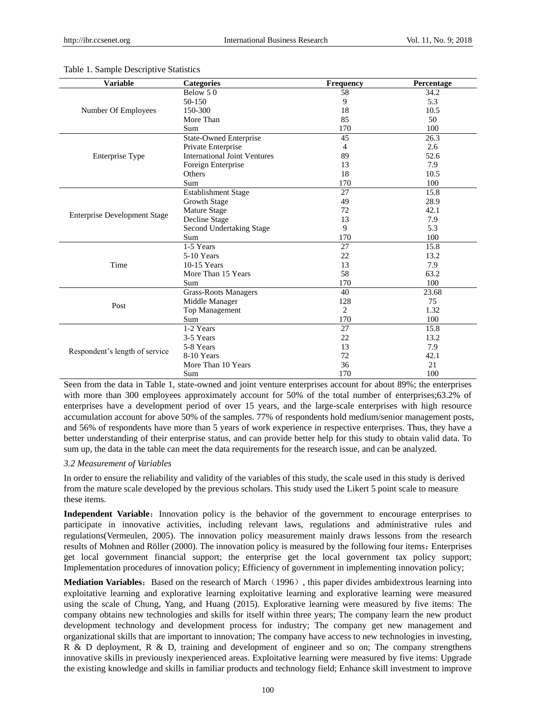| <b>Variable</b>                     | <b>Categories</b>                   | <b>Frequency</b>                                                                                                                                                                                                                                                                                                      | Percentage |
|-------------------------------------|-------------------------------------|-----------------------------------------------------------------------------------------------------------------------------------------------------------------------------------------------------------------------------------------------------------------------------------------------------------------------|------------|
|                                     | Below 50                            | 58                                                                                                                                                                                                                                                                                                                    | 34.2       |
|                                     | 50-150                              | 9                                                                                                                                                                                                                                                                                                                     | 5.3        |
| Number Of Employees                 | 150-300                             | 18                                                                                                                                                                                                                                                                                                                    | 10.5       |
|                                     | More Than                           | 85                                                                                                                                                                                                                                                                                                                    | 50         |
|                                     | Sum                                 | 170                                                                                                                                                                                                                                                                                                                   | 100        |
|                                     | <b>State-Owned Enterprise</b>       | 45                                                                                                                                                                                                                                                                                                                    | 26.3       |
|                                     | Private Enterprise                  | 4                                                                                                                                                                                                                                                                                                                     | 2.6        |
| <b>Enterprise Type</b>              | <b>International Joint Ventures</b> | 89                                                                                                                                                                                                                                                                                                                    | 52.6       |
|                                     | Foreign Enterprise                  | 13                                                                                                                                                                                                                                                                                                                    | 7.9        |
|                                     | Others                              | 18                                                                                                                                                                                                                                                                                                                    | 10.5       |
|                                     | Sum                                 | 170<br>100<br>27<br>15.8<br>49<br>28.9<br>72<br>42.1<br>7.9<br>13<br>9<br>5.3<br>170<br>100<br>27<br>15.8<br>22<br>13.2<br>13<br>7.9<br>58<br>63.2<br>170<br>100<br>23.68<br>40<br>128<br>75<br>$\overline{2}$<br>1.32<br>170<br>100<br>27<br>15.8<br>22<br>13.2<br>13<br>7.9<br>72<br>42.1<br>36<br>21<br>170<br>100 |            |
|                                     | <b>Establishment Stage</b>          |                                                                                                                                                                                                                                                                                                                       |            |
|                                     | Growth Stage                        |                                                                                                                                                                                                                                                                                                                       |            |
|                                     | <b>Mature Stage</b>                 |                                                                                                                                                                                                                                                                                                                       |            |
| <b>Enterprise Development Stage</b> | Decline Stage                       |                                                                                                                                                                                                                                                                                                                       |            |
|                                     | Second Undertaking Stage            |                                                                                                                                                                                                                                                                                                                       |            |
|                                     | Sum                                 |                                                                                                                                                                                                                                                                                                                       |            |
|                                     | $1-5$ Years                         |                                                                                                                                                                                                                                                                                                                       |            |
|                                     | 5-10 Years                          |                                                                                                                                                                                                                                                                                                                       |            |
| Time                                | 10-15 Years                         |                                                                                                                                                                                                                                                                                                                       |            |
|                                     | More Than 15 Years                  |                                                                                                                                                                                                                                                                                                                       |            |
|                                     | Sum                                 |                                                                                                                                                                                                                                                                                                                       |            |
|                                     | Grass-Roots Managers                |                                                                                                                                                                                                                                                                                                                       |            |
| Post                                | Middle Manager                      |                                                                                                                                                                                                                                                                                                                       |            |
|                                     | Top Management                      |                                                                                                                                                                                                                                                                                                                       |            |
|                                     | Sum                                 |                                                                                                                                                                                                                                                                                                                       |            |
|                                     | 1-2 Years                           |                                                                                                                                                                                                                                                                                                                       |            |
|                                     | 3-5 Years                           |                                                                                                                                                                                                                                                                                                                       |            |
|                                     | 5-8 Years                           |                                                                                                                                                                                                                                                                                                                       |            |
| Respondent's length of service      | 8-10 Years                          |                                                                                                                                                                                                                                                                                                                       |            |
|                                     | More Than 10 Years                  |                                                                                                                                                                                                                                                                                                                       |            |
|                                     | Sum                                 |                                                                                                                                                                                                                                                                                                                       |            |

#### Table 1. Sample Descriptive Statistics

Seen from the data in Table 1, state-owned and joint venture enterprises account for about 89%; the enterprises with more than 300 employees approximately account for 50% of the total number of enterprises;63.2% of enterprises have a development period of over 15 years, and the large-scale enterprises with high resource accumulation account for above 50% of the samples. 77% of respondents hold medium/senior management posts, and 56% of respondents have more than 5 years of work experience in respective enterprises. Thus, they have a better understanding of their enterprise status, and can provide better help for this study to obtain valid data. To sum up, the data in the table can meet the data requirements for the research issue, and can be analyzed.

#### *3.2 Measurement of Variables*

In order to ensure the reliability and validity of the variables of this study, the scale used in this study is derived from the mature scale developed by the previous scholars. This study used the Likert 5 point scale to measure these items.

**Independent Variable:** Innovation policy is the behavior of the government to encourage enterprises to participate in innovative activities, including relevant laws, regulations and administrative rules and regulations(Vermeulen, 2005). The innovation policy measurement mainly draws lessons from the research results of Mohnen and Röller (2000). The innovation policy is measured by the following four items: Enterprises get local government financial support; the enterprise get the local government tax policy support; Implementation procedures of innovation policy; Efficiency of government in implementing innovation policy;

**Mediation Variables:** Based on the research of March (1996), this paper divides ambidextrous learning into exploitative learning and explorative learning exploitative learning and explorative learning were measured using the scale of Chung, Yang, and Huang (2015). Explorative learning were measured by five items: The company obtains new technologies and skills for itself within three years; The company learn the new product development technology and development process for industry; The company get new management and organizational skills that are important to innovation; The company have access to new technologies in investing, R & D deployment, R & D, training and development of engineer and so on; The company strengthens innovative skills in previously inexperienced areas. Exploitative learning were measured by five items: Upgrade the existing knowledge and skills in familiar products and technology field; Enhance skill investment to improve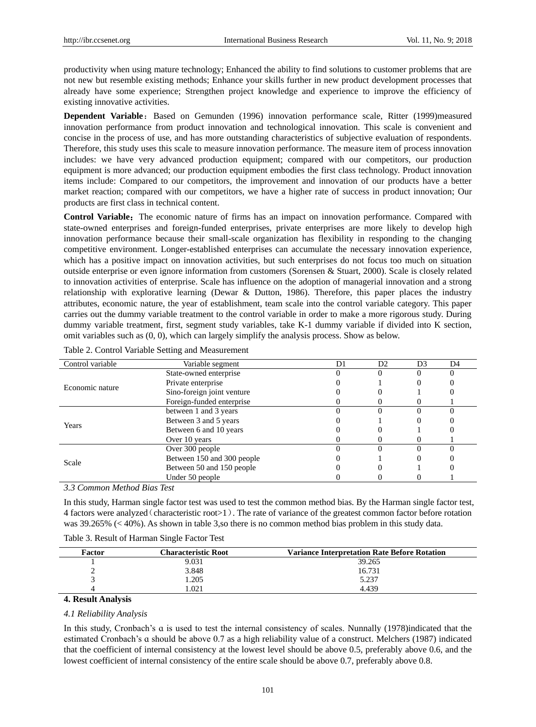productivity when using mature technology; Enhanced the ability to find solutions to customer problems that are not new but resemble existing methods; Enhance your skills further in new product development processes that already have some experience; Strengthen project knowledge and experience to improve the efficiency of existing innovative activities.

**Dependent Variable:** Based on Gemunden (1996) innovation performance scale, Ritter (1999)measured innovation performance from product innovation and technological innovation. This scale is convenient and concise in the process of use, and has more outstanding characteristics of subjective evaluation of respondents. Therefore, this study uses this scale to measure innovation performance. The measure item of process innovation includes: we have very advanced production equipment; compared with our competitors, our production equipment is more advanced; our production equipment embodies the first class technology. Product innovation items include: Compared to our competitors, the improvement and innovation of our products have a better market reaction; compared with our competitors, we have a higher rate of success in product innovation; Our products are first class in technical content.

**Control Variable:** The economic nature of firms has an impact on innovation performance. Compared with state-owned enterprises and foreign-funded enterprises, private enterprises are more likely to develop high innovation performance because their small-scale organization has flexibility in responding to the changing competitive environment. Longer-established enterprises can accumulate the necessary innovation experience, which has a positive impact on innovation activities, but such enterprises do not focus too much on situation outside enterprise or even ignore information from customers (Sorensen & Stuart, 2000). Scale is closely related to innovation activities of enterprise. Scale has influence on the adoption of managerial innovation and a strong relationship with explorative learning (Dewar & Dutton, 1986). Therefore, this paper places the industry attributes, economic nature, the year of establishment, team scale into the control variable category. This paper carries out the dummy variable treatment to the control variable in order to make a more rigorous study. During dummy variable treatment, first, segment study variables, take K-1 dummy variable if divided into K section, omit variables such as (0, 0), which can largely simplify the analysis process. Show as below.

| Control variable                  | Variable segment           | D1 | D <sub>2</sub> | D <sub>3</sub> | D <sub>4</sub> |
|-----------------------------------|----------------------------|----|----------------|----------------|----------------|
|                                   | State-owned enterprise     |    |                |                |                |
| Economic nature                   | Private enterprise         |    |                |                |                |
|                                   | Sino-foreign joint venture |    |                |                |                |
|                                   | Foreign-funded enterprise  |    |                |                |                |
|                                   | between 1 and 3 years      |    |                |                |                |
|                                   | Between 3 and 5 years      |    |                |                |                |
| Years                             | Between 6 and 10 years     |    |                |                |                |
|                                   | Over 10 years              |    |                |                |                |
|                                   | Over 300 people            |    |                |                |                |
|                                   | Between 150 and 300 people |    |                |                |                |
| Scale                             | Between 50 and 150 people  |    |                |                |                |
|                                   | Under 50 people            |    |                |                |                |
| $\sim$ $\sim$<br><b>Trinition</b> | $\sim$                     |    |                |                |                |

*3.3 Common Method Bias Test*

In this study, Harman single factor test was used to test the common method bias. By the Harman single factor test, 4 factors were analyzed(characteristic root>1). The rate of variance of the greatest common factor before rotation was 39.265% (< 40%). As shown in table 3,so there is no common method bias problem in this study data.

| Factor | <b>Characteristic Root</b> | <b>Variance Interpretation Rate Before Rotation</b> |
|--------|----------------------------|-----------------------------------------------------|
|        | 9.031                      | 39.265                                              |
|        | 3.848                      | 16.731                                              |
|        | .205                       | 5.237                                               |
|        | .021                       | 4.439                                               |
|        |                            |                                                     |

# **4. Result Analysis**

### *4.1 Reliability Analysis*

In this study, Cronbach's ɑ is used to test the internal consistency of scales. Nunnally (1978)indicated that the estimated Cronbach's ɑ should be above 0.7 as a high reliability value of a construct. Melchers (1987) indicated that the coefficient of internal consistency at the lowest level should be above 0.5, preferably above 0.6, and the lowest coefficient of internal consistency of the entire scale should be above 0.7, preferably above 0.8.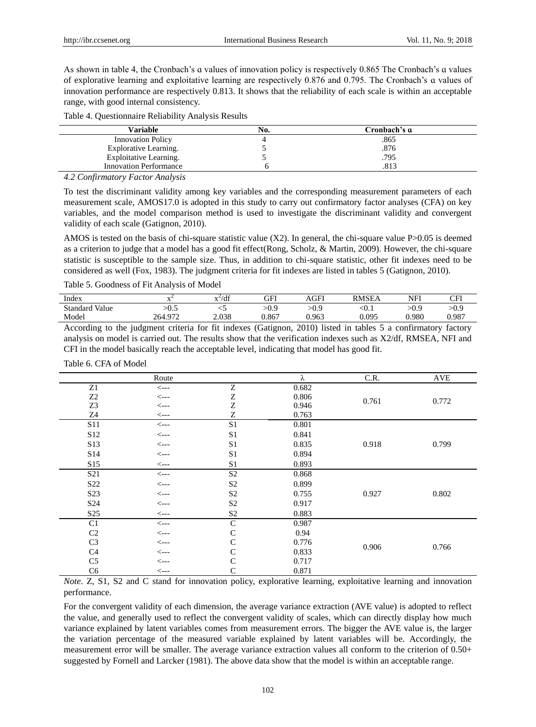As shown in table 4, the Cronbach's ɑ values of innovation policy is respectively 0.865 The Cronbach's ɑ values of explorative learning and exploitative learning are respectively 0.876 and 0.795. The Cronbach's ɑ values of innovation performance are respectively 0.813. It shows that the reliability of each scale is within an acceptable range, with good internal consistency.

| Table 4. Questionnaire Reliability Analysis Results |  |  |  |
|-----------------------------------------------------|--|--|--|
|-----------------------------------------------------|--|--|--|

| Variable                      | No. | Cronbach's a |  |
|-------------------------------|-----|--------------|--|
| <b>Innovation Policy</b>      |     | .865         |  |
| Explorative Learning.         |     | .876         |  |
| Exploitative Learning.        |     | .795         |  |
| <b>Innovation Performance</b> |     | .813         |  |

*4.2 Confirmatory Factor Analysis* 

To test the discriminant validity among key variables and the corresponding measurement parameters of each measurement scale, AMOS17.0 is adopted in this study to carry out confirmatory factor analyses (CFA) on key variables, and the model comparison method is used to investigate the discriminant validity and convergent validity of each scale (Gatignon, 2010).

AMOS is tested on the basis of chi-square statistic value  $(X2)$ . In general, the chi-square value P $>0.05$  is deemed as a criterion to judge that a model has a good fit effect(Rong, Scholz, & Martin, 2009). However, the chi-square statistic is susceptible to the sample size. Thus, in addition to chi-square statistic, other fit indexes need to be considered as well (Fox, 1983). The judgment criteria for fit indexes are listed in tables 5 (Gatignon, 2010).

Table 5. Goodness of Fit Analysis of Model

| Index                                                                                                         |         | $x^2/df$ | FFI   | AGFI  | <b>RMSEA</b> | NFI   | CFI   |
|---------------------------------------------------------------------------------------------------------------|---------|----------|-------|-------|--------------|-------|-------|
| <b>Standard Value</b>                                                                                         | >0.5    |          | >0.9  | >0.9  | <0.1         | >0.9  | >0.9  |
| Model                                                                                                         | 264.972 | 2.038    | 0.867 | 9.963 | 0.095        | 0.980 | 0.987 |
| According to the judgment criteria for fit indexes (Gatignon, 2010) listed in tables 5 a confirmatory factory |         |          |       |       |              |       |       |

analysis on model is carried out. The results show that the verification indexes such as X2/df, RMSEA, NFI and CFI in the model basically reach the acceptable level, indicating that model has good fit.

Table 6. CFA of Model

|                  | Route            |                | λ     | C.R.  | AVE   |
|------------------|------------------|----------------|-------|-------|-------|
| ${\bf Z}1$       | $\leftarrow$ --- | Z              | 0.682 |       |       |
| Z2               | $\leftarrow$ --- | Ζ              | 0.806 | 0.761 | 0.772 |
| Z <sub>3</sub>   | $\leftarrow$ --  | Z              | 0.946 |       |       |
| Z4               | $\leftarrow$ --- | Ζ              | 0.763 |       |       |
| S <sub>11</sub>  | $\leftarrow$ --- | $\rm S1$       | 0.801 |       |       |
| S <sub>12</sub>  | $\leftarrow$ --- | S1             | 0.841 |       |       |
| S <sub>13</sub>  | $\leftarrow$ --- | S <sub>1</sub> | 0.835 | 0.918 | 0.799 |
| S <sub>14</sub>  | $\leftarrow$ --  | S1             | 0.894 |       |       |
| S15              | $\leftarrow$ --- | S <sub>1</sub> | 0.893 |       |       |
| S <sub>21</sub>  | $\leftarrow$ --  | S <sub>2</sub> | 0.868 |       |       |
| S <sub>22</sub>  | $\leftarrow$ --- | S <sub>2</sub> | 0.899 |       |       |
| S <sub>2</sub> 3 | $\leftarrow$ --- | S <sub>2</sub> | 0.755 | 0.927 | 0.802 |
| S <sub>24</sub>  | $\leftarrow$ --  | S <sub>2</sub> | 0.917 |       |       |
| S <sub>25</sub>  | $\leftarrow$ --- | S <sub>2</sub> | 0.883 |       |       |
| C1               | $\leftarrow$ --  | $\mathsf{C}$   | 0.987 |       |       |
| C <sub>2</sub>   | $\leftarrow$ --- | C              | 0.94  |       |       |
| C <sub>3</sub>   | $\leftarrow$ --- | C              | 0.776 |       |       |
| C <sub>4</sub>   | $\leftarrow$ --- | C              | 0.833 | 0.906 | 0.766 |
| C <sub>5</sub>   | $\leftarrow$ --  | C              | 0.717 |       |       |
| C <sub>6</sub>   | $\leftarrow$ --- | C              | 0.871 |       |       |

*Note*. Z, S1, S2 and C stand for innovation policy, explorative learning, exploitative learning and innovation performance.

For the convergent validity of each dimension, the average variance extraction (AVE value) is adopted to reflect the value, and generally used to reflect the convergent validity of scales, which can directly display how much variance explained by latent variables comes from measurement errors. The bigger the AVE value is, the larger the variation percentage of the measured variable explained by latent variables will be. Accordingly, the measurement error will be smaller. The average variance extraction values all conform to the criterion of 0.50+ suggested by Fornell and Larcker (1981). The above data show that the model is within an acceptable range.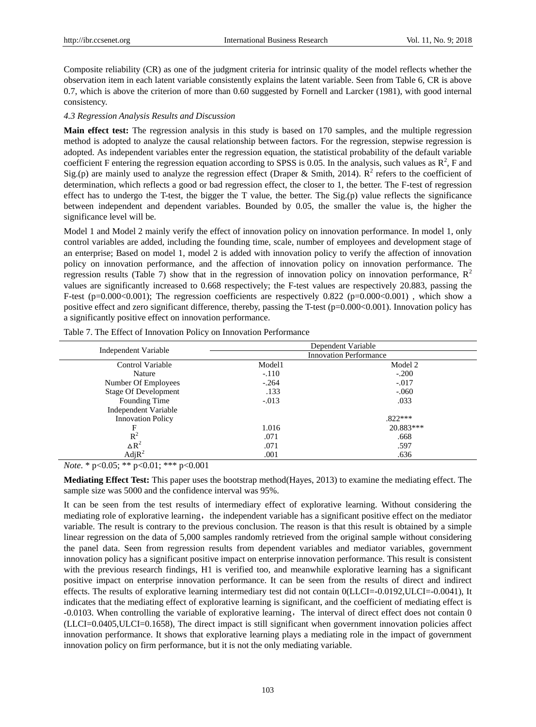Composite reliability (CR) as one of the judgment criteria for intrinsic quality of the model reflects whether the observation item in each latent variable consistently explains the latent variable. Seen from Table 6, CR is above 0.7, which is above the criterion of more than 0.60 suggested by Fornell and Larcker (1981), with good internal consistency.

## *4.3 Regression Analysis Results and Discussion*

**Main effect test:** The regression analysis in this study is based on 170 samples, and the multiple regression method is adopted to analyze the causal relationship between factors. For the regression, stepwise regression is adopted. As independent variables enter the regression equation, the statistical probability of the default variable coefficient F entering the regression equation according to SPSS is 0.05. In the analysis, such values as  $R^2$ , F and Sig.(p) are mainly used to analyze the regression effect (Draper & Smith, 2014).  $R^2$  refers to the coefficient of determination, which reflects a good or bad regression effect, the closer to 1, the better. The F-test of regression effect has to undergo the T-test, the bigger the T value, the better. The Sig.(p) value reflects the significance between independent and dependent variables. Bounded by 0.05, the smaller the value is, the higher the significance level will be.

Model 1 and Model 2 mainly verify the effect of innovation policy on innovation performance. In model 1, only control variables are added, including the founding time, scale, number of employees and development stage of an enterprise; Based on model 1, model 2 is added with innovation policy to verify the affection of innovation policy on innovation performance, and the affection of innovation policy on innovation performance. The regression results (Table 7) show that in the regression of innovation policy on innovation performance,  $R^2$ values are significantly increased to 0.668 respectively; the F-test values are respectively 20.883, passing the F-test (p=0.000 $<0.001$ ); The regression coefficients are respectively 0.822 (p=0.000 $<0.001$ ), which show a positive effect and zero significant difference, thereby, passing the T-test (p=0.000<0.001). Innovation policy has a significantly positive effect on innovation performance.

| Independent Variable        | Dependent Variable<br><b>Innovation Performance</b> |           |  |  |
|-----------------------------|-----------------------------------------------------|-----------|--|--|
|                             |                                                     |           |  |  |
| Control Variable            | Model1                                              | Model 2   |  |  |
| Nature                      | $-.110$                                             | $-.200$   |  |  |
| Number Of Employees         | $-.264$                                             | $-.017$   |  |  |
| <b>Stage Of Development</b> | .133                                                | $-.060$   |  |  |
| Founding Time               | $-.013$                                             | .033      |  |  |
| Independent Variable        |                                                     |           |  |  |
| <b>Innovation Policy</b>    |                                                     | $.822***$ |  |  |
| F                           | 1.016                                               | 20.883*** |  |  |
| $R^2$                       | .071                                                | .668      |  |  |
| $\Delta R^2$                | .071                                                | .597      |  |  |
| AdjR <sup>2</sup>           | .001                                                | .636      |  |  |

Table 7. The Effect of Innovation Policy on Innovation Performance

*Note*. \* p<0.05; \*\* p<0.01; \*\*\* p<0.001

**Mediating Effect Test:** This paper uses the bootstrap method(Hayes, 2013) to examine the mediating effect. The sample size was 5000 and the confidence interval was 95%.

It can be seen from the test results of intermediary effect of explorative learning. Without considering the mediating role of explorative learning, the independent variable has a significant positive effect on the mediator variable. The result is contrary to the previous conclusion. The reason is that this result is obtained by a simple linear regression on the data of 5,000 samples randomly retrieved from the original sample without considering the panel data. Seen from regression results from dependent variables and mediator variables, government innovation policy has a significant positive impact on enterprise innovation performance. This result is consistent with the previous research findings, H1 is verified too, and meanwhile explorative learning has a significant positive impact on enterprise innovation performance. It can be seen from the results of direct and indirect effects. The results of explorative learning intermediary test did not contain 0(LLCI=-0.0192,ULCI=-0.0041), It indicates that the mediating effect of explorative learning is significant, and the coefficient of mediating effect is -0.0103. When controlling the variable of explorative learning, The interval of direct effect does not contain 0 (LLCI=0.0405,ULCI=0.1658), The direct impact is still significant when government innovation policies affect innovation performance. It shows that explorative learning plays a mediating role in the impact of government innovation policy on firm performance, but it is not the only mediating variable.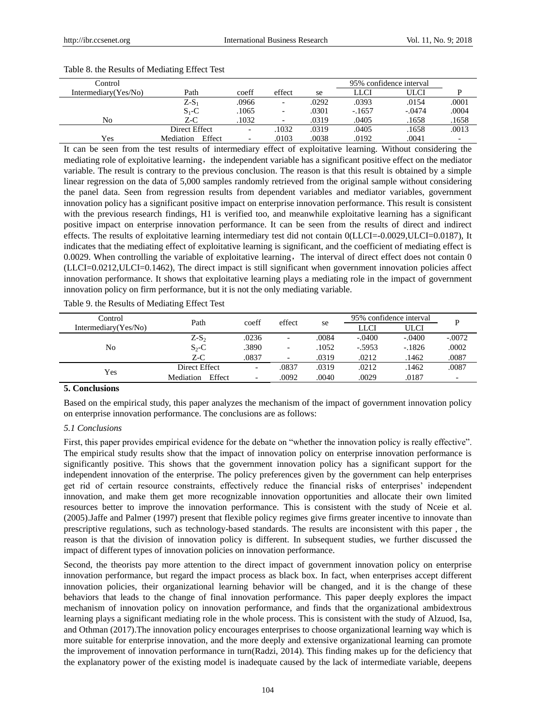| Control                 |                     |       |                |       |          | 95% confidence interval |       |
|-------------------------|---------------------|-------|----------------|-------|----------|-------------------------|-------|
| Intermediary $(Yes/No)$ | Path                | coeff | effect         | se    | LLCI     | ULCI                    |       |
|                         | $Z-S_1$             | .0966 | $\overline{a}$ | .0292 | .0393    | .0154                   | .0001 |
|                         | $S_1 - C$           | .1065 |                | .0301 | $-.1657$ | $-.0474$                | .0004 |
| No                      | $Z-C$               | 1032  |                | .0319 | .0405    | .1658                   | .1658 |
|                         | Direct Effect       |       | 1032           | .0319 | .0405    | .1658                   | .0013 |
| Yes                     | Effect<br>Mediation |       | .0103          | .0038 | .0192    | .0041                   |       |

#### Table 8. the Results of Mediating Effect Test

It can be seen from the test results of intermediary effect of exploitative learning. Without considering the mediating role of exploitative learning, the independent variable has a significant positive effect on the mediator variable. The result is contrary to the previous conclusion. The reason is that this result is obtained by a simple linear regression on the data of 5,000 samples randomly retrieved from the original sample without considering the panel data. Seen from regression results from dependent variables and mediator variables, government innovation policy has a significant positive impact on enterprise innovation performance. This result is consistent with the previous research findings, H1 is verified too, and meanwhile exploitative learning has a significant positive impact on enterprise innovation performance. It can be seen from the results of direct and indirect effects. The results of exploitative learning intermediary test did not contain 0(LLCI=-0.0029,ULCI=0.0187), It indicates that the mediating effect of exploitative learning is significant, and the coefficient of mediating effect is 0.0029. When controlling the variable of exploitative learning, The interval of direct effect does not contain  $0$ (LLCI=0.0212,ULCI=0.1462), The direct impact is still significant when government innovation policies affect innovation performance. It shows that exploitative learning plays a mediating role in the impact of government innovation policy on firm performance, but it is not the only mediating variable.

Table 9. the Results of Mediating Effect Test

| Control                 | Path                | coeff                    | effect                   | se    | 95% confidence interval |          |          |
|-------------------------|---------------------|--------------------------|--------------------------|-------|-------------------------|----------|----------|
| Intermediary $(Yes/No)$ |                     |                          |                          |       | LLCI                    | ULCI     |          |
| No                      | $Z-S_2$             | .0236                    | $\overline{\phantom{0}}$ | .0084 | $-.0400$                | $-.0400$ | $-.0072$ |
|                         | $S_2-C$             | .3890                    | $\overline{\phantom{0}}$ | 1052  | $-.5953$                | $-1826$  | .0002    |
|                         | $Z-C$               | .0837                    |                          | .0319 | .0212                   | .1462    | .0087    |
| Yes                     | Direct Effect       | $\overline{\phantom{0}}$ | .0837                    | .0319 | .0212                   | .1462    | .0087    |
|                         | Effect<br>Mediation | $\overline{\phantom{0}}$ | .0092                    | .0040 | .0029                   | .0187    |          |

# **5. Conclusions**

Based on the empirical study, this paper analyzes the mechanism of the impact of government innovation policy on enterprise innovation performance. The conclusions are as follows:

# *5.1 Conclusions*

First, this paper provides empirical evidence for the debate on "whether the innovation policy is really effective". The empirical study results show that the impact of innovation policy on enterprise innovation performance is significantly positive. This shows that the government innovation policy has a significant support for the independent innovation of the enterprise. The policy preferences given by the government can help enterprises get rid of certain resource constraints, effectively reduce the financial risks of enterprises' independent innovation, and make them get more recognizable innovation opportunities and allocate their own limited resources better to improve the innovation performance. This is consistent with the study of Nceie et al. (2005).Jaffe and Palmer (1997) present that flexible policy regimes give firms greater incentive to innovate than prescriptive regulations, such as technology-based standards. The results are inconsistent with this paper , the reason is that the division of innovation policy is different. In subsequent studies, we further discussed the impact of different types of innovation policies on innovation performance.

Second, the theorists pay more attention to the direct impact of government innovation policy on enterprise innovation performance, but regard the impact process as black box. In fact, when enterprises accept different innovation policies, their organizational learning behavior will be changed, and it is the change of these behaviors that leads to the change of final innovation performance. This paper deeply explores the impact mechanism of innovation policy on innovation performance, and finds that the organizational ambidextrous learning plays a significant mediating role in the whole process. This is consistent with the study of Alzuod, Isa, and Othman (2017).The innovation policy encourages enterprises to choose organizational learning way which is more suitable for enterprise innovation, and the more deeply and extensive organizational learning can promote the improvement of innovation performance in turn(Radzi, 2014). This finding makes up for the deficiency that the explanatory power of the existing model is inadequate caused by the lack of intermediate variable, deepens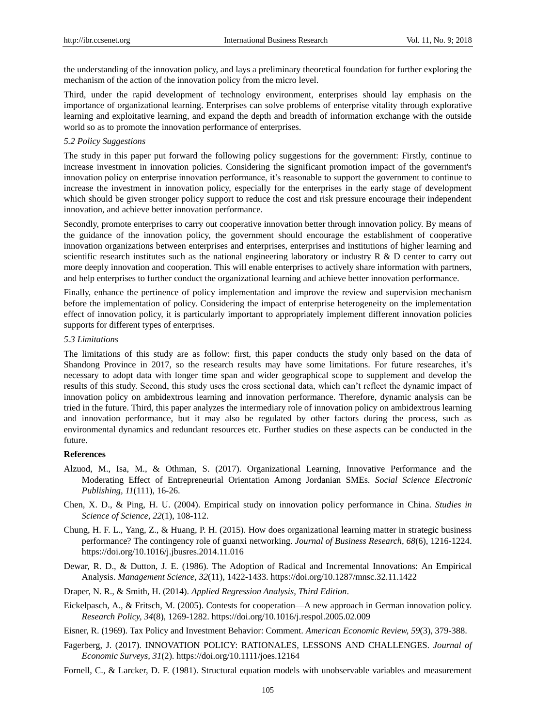the understanding of the innovation policy, and lays a preliminary theoretical foundation for further exploring the mechanism of the action of the innovation policy from the micro level.

Third, under the rapid development of technology environment, enterprises should lay emphasis on the importance of organizational learning. Enterprises can solve problems of enterprise vitality through explorative learning and exploitative learning, and expand the depth and breadth of information exchange with the outside world so as to promote the innovation performance of enterprises.

# *5.2 Policy Suggestions*

The study in this paper put forward the following policy suggestions for the government: Firstly, continue to increase investment in innovation policies. Considering the significant promotion impact of the government's innovation policy on enterprise innovation performance, it's reasonable to support the government to continue to increase the investment in innovation policy, especially for the enterprises in the early stage of development which should be given stronger policy support to reduce the cost and risk pressure encourage their independent innovation, and achieve better innovation performance.

Secondly, promote enterprises to carry out cooperative innovation better through innovation policy. By means of the guidance of the innovation policy, the government should encourage the establishment of cooperative innovation organizations between enterprises and enterprises, enterprises and institutions of higher learning and scientific research institutes such as the national engineering laboratory or industry R  $\&$  D center to carry out more deeply innovation and cooperation. This will enable enterprises to actively share information with partners, and help enterprises to further conduct the organizational learning and achieve better innovation performance.

Finally, enhance the pertinence of policy implementation and improve the review and supervision mechanism before the implementation of policy. Considering the impact of enterprise heterogeneity on the implementation effect of innovation policy, it is particularly important to appropriately implement different innovation policies supports for different types of enterprises.

# *5.3 Limitations*

The limitations of this study are as follow: first, this paper conducts the study only based on the data of Shandong Province in 2017, so the research results may have some limitations. For future researches, it's necessary to adopt data with longer time span and wider geographical scope to supplement and develop the results of this study. Second, this study uses the cross sectional data, which can't reflect the dynamic impact of innovation policy on ambidextrous learning and innovation performance. Therefore, dynamic analysis can be tried in the future. Third, this paper analyzes the intermediary role of innovation policy on ambidextrous learning and innovation performance, but it may also be regulated by other factors during the process, such as environmental dynamics and redundant resources etc. Further studies on these aspects can be conducted in the future.

# **References**

- Alzuod, M., Isa, M., & Othman, S. (2017). Organizational Learning, Innovative Performance and the Moderating Effect of Entrepreneurial Orientation Among Jordanian SMEs. *Social Science Electronic Publishing, 11*(111), 16-26.
- Chen, X. D., & Ping, H. U. (2004). Empirical study on innovation policy performance in China. *Studies in Science of Science, 22*(1), 108-112.
- Chung, H. F. L., Yang, Z., & Huang, P. H. (2015). How does organizational learning matter in strategic business performance? The contingency role of guanxi networking. *Journal of Business Research, 68*(6), 1216-1224. https://doi.org/10.1016/j.jbusres.2014.11.016
- Dewar, R. D., & Dutton, J. E. (1986). The Adoption of Radical and Incremental Innovations: An Empirical Analysis. *Management Science, 32*(11), 1422-1433. https://doi.org/10.1287/mnsc.32.11.1422
- Draper, N. R., & Smith, H. (2014). *Applied Regression Analysis, Third Edition*.
- Eickelpasch, A., & Fritsch, M. (2005). Contests for cooperation—A new approach in German innovation policy. *Research Policy, 34*(8), 1269-1282. https://doi.org/10.1016/j.respol.2005.02.009

Eisner, R. (1969). Tax Policy and Investment Behavior: Comment. *American Economic Review, 59*(3), 379-388.

- Fagerberg, J. (2017). INNOVATION POLICY: RATIONALES, LESSONS AND CHALLENGES. *Journal of Economic Surveys, 31*(2). https://doi.org/10.1111/joes.12164
- Fornell, C., & Larcker, D. F. (1981). Structural equation models with unobservable variables and measurement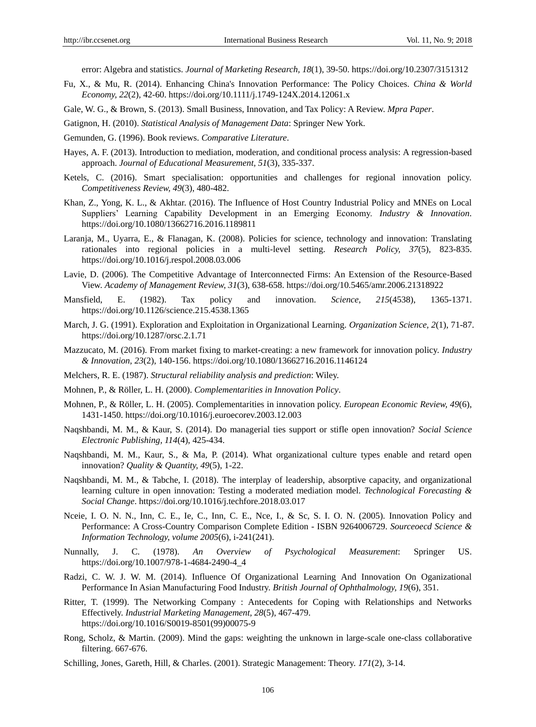error: Algebra and statistics. *Journal of Marketing Research, 18*(1), 39-50. https://doi.org/10.2307/3151312

- Fu, X., & Mu, R. (2014). Enhancing China's Innovation Performance: The Policy Choices. *China & World Economy, 22*(2), 42-60. https://doi.org/10.1111/j.1749-124X.2014.12061.x
- Gale, W. G., & Brown, S. (2013). Small Business, Innovation, and Tax Policy: A Review. *Mpra Paper*.

Gatignon, H. (2010). *Statistical Analysis of Management Data*: Springer New York.

- Gemunden, G. (1996). Book reviews. *Comparative Literature*.
- Hayes, A. F. (2013). Introduction to mediation, moderation, and conditional process analysis: A regression-based approach. *Journal of Educational Measurement, 51*(3), 335-337.
- Ketels, C. (2016). Smart specialisation: opportunities and challenges for regional innovation policy. *Competitiveness Review, 49*(3), 480-482.
- Khan, Z., Yong, K. L., & Akhtar. (2016). The Influence of Host Country Industrial Policy and MNEs on Local Suppliers' Learning Capability Development in an Emerging Economy. *Industry & Innovation*. https://doi.org/10.1080/13662716.2016.1189811
- Laranja, M., Uyarra, E., & Flanagan, K. (2008). Policies for science, technology and innovation: Translating rationales into regional policies in a multi-level setting. *Research Policy, 37*(5), 823-835. https://doi.org/10.1016/j.respol.2008.03.006
- Lavie, D. (2006). The Competitive Advantage of Interconnected Firms: An Extension of the Resource-Based View. *Academy of Management Review, 31*(3), 638-658. https://doi.org/10.5465/amr.2006.21318922
- Mansfield, E. (1982). Tax policy and innovation. *Science, 215*(4538), 1365-1371. https://doi.org/10.1126/science.215.4538.1365
- March, J. G. (1991). Exploration and Exploitation in Organizational Learning. *Organization Science, 2*(1), 71-87. https://doi.org/10.1287/orsc.2.1.71
- Mazzucato, M. (2016). From market fixing to market-creating: a new framework for innovation policy. *Industry & Innovation, 23*(2), 140-156. https://doi.org/10.1080/13662716.2016.1146124
- Melchers, R. E. (1987). *Structural reliability analysis and prediction*: Wiley.
- Mohnen, P., & Röller, L. H. (2000). *Complementarities in Innovation Policy*.
- Mohnen, P., & Röller, L. H. (2005). Complementarities in innovation policy. *European Economic Review, 49*(6), 1431-1450. https://doi.org/10.1016/j.euroecorev.2003.12.003
- Naqshbandi, M. M., & Kaur, S. (2014). Do managerial ties support or stifle open innovation? *Social Science Electronic Publishing, 114*(4), 425-434.
- Naqshbandi, M. M., Kaur, S., & Ma, P. (2014). What organizational culture types enable and retard open innovation? *Quality & Quantity, 49*(5), 1-22.
- Naqshbandi, M. M., & Tabche, I. (2018). The interplay of leadership, absorptive capacity, and organizational learning culture in open innovation: Testing a moderated mediation model. *Technological Forecasting & Social Change*. https://doi.org/10.1016/j.techfore.2018.03.017
- Nceie, I. O. N. N., Inn, C. E., Ie, C., Inn, C. E., Nce, I., & Sc, S. I. O. N. (2005). Innovation Policy and Performance: A Cross-Country Comparison Complete Edition - ISBN 9264006729. *Sourceoecd Science & Information Technology, volume 2005*(6), i-241(241).
- Nunnally, J. C. (1978). *An Overview of Psychological Measurement*: Springer US. https://doi.org/10.1007/978-1-4684-2490-4\_4
- Radzi, C. W. J. W. M. (2014). Influence Of Organizational Learning And Innovation On Oganizational Performance In Asian Manufacturing Food Industry. *British Journal of Ophthalmology, 19*(6), 351.
- Ritter, T. (1999). The Networking Company : Antecedents for Coping with Relationships and Networks Effectively. *Industrial Marketing Management, 28*(5), 467-479. https://doi.org/10.1016/S0019-8501(99)00075-9
- Rong, Scholz, & Martin. (2009). Mind the gaps: weighting the unknown in large-scale one-class collaborative filtering. 667-676.
- Schilling, Jones, Gareth, Hill, & Charles. (2001). Strategic Management: Theory. *171*(2), 3-14.